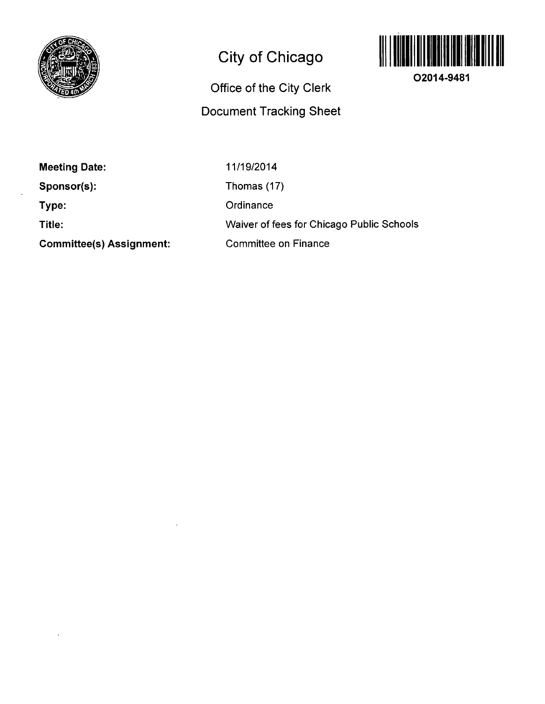

## **City of Chicago**

## **Office of the City Clerk Document Tracking Sheet**



**O2014-9481** 

**Meeting Date:** 

**Sponsor(s):** 

**Type:** 

**Title:** 

**Committee(s) Assignment:** 

11/19/2014 Thomas (17) **Ordinance** Waiver of fees for Chicago Public Schools Committee on Finance